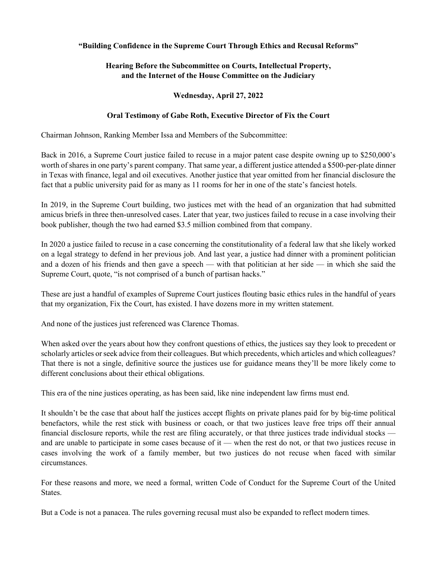## **"Building Confidence in the Supreme Court Through Ethics and Recusal Reforms"**

## **Hearing Before the Subcommittee on Courts, Intellectual Property, and the Internet of the House Committee on the Judiciary**

## **Wednesday, April 27, 2022**

## **Oral Testimony of Gabe Roth, Executive Director of Fix the Court**

Chairman Johnson, Ranking Member Issa and Members of the Subcommittee:

Back in 2016, a Supreme Court justice failed to recuse in a major patent case despite owning up to \$250,000's worth of shares in one party's parent company. That same year, a different justice attended a \$500-per-plate dinner in Texas with finance, legal and oil executives. Another justice that year omitted from her financial disclosure the fact that a public university paid for as many as 11 rooms for her in one of the state's fanciest hotels.

In 2019, in the Supreme Court building, two justices met with the head of an organization that had submitted amicus briefs in three then-unresolved cases. Later that year, two justices failed to recuse in a case involving their book publisher, though the two had earned \$3.5 million combined from that company.

In 2020 a justice failed to recuse in a case concerning the constitutionality of a federal law that she likely worked on a legal strategy to defend in her previous job. And last year, a justice had dinner with a prominent politician and a dozen of his friends and then gave a speech — with that politician at her side — in which she said the Supreme Court, quote, "is not comprised of a bunch of partisan hacks."

These are just a handful of examples of Supreme Court justices flouting basic ethics rules in the handful of years that my organization, Fix the Court, has existed. I have dozens more in my written statement.

And none of the justices just referenced was Clarence Thomas.

When asked over the years about how they confront questions of ethics, the justices say they look to precedent or scholarly articles or seek advice from their colleagues. But which precedents, which articles and which colleagues? That there is not a single, definitive source the justices use for guidance means they'll be more likely come to different conclusions about their ethical obligations.

This era of the nine justices operating, as has been said, like nine independent law firms must end.

It shouldn't be the case that about half the justices accept flights on private planes paid for by big-time political benefactors, while the rest stick with business or coach, or that two justices leave free trips off their annual financial disclosure reports, while the rest are filing accurately, or that three justices trade individual stocks and are unable to participate in some cases because of it — when the rest do not, or that two justices recuse in cases involving the work of a family member, but two justices do not recuse when faced with similar circumstances.

For these reasons and more, we need a formal, written Code of Conduct for the Supreme Court of the United States.

But a Code is not a panacea. The rules governing recusal must also be expanded to reflect modern times.